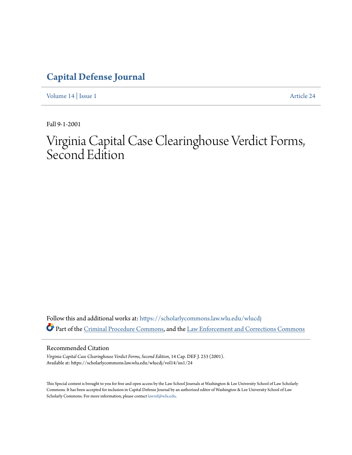# **[Capital Defense Journal](https://scholarlycommons.law.wlu.edu/wlucdj?utm_source=scholarlycommons.law.wlu.edu%2Fwlucdj%2Fvol14%2Fiss1%2F24&utm_medium=PDF&utm_campaign=PDFCoverPages)**

[Volume 14](https://scholarlycommons.law.wlu.edu/wlucdj/vol14?utm_source=scholarlycommons.law.wlu.edu%2Fwlucdj%2Fvol14%2Fiss1%2F24&utm_medium=PDF&utm_campaign=PDFCoverPages) | [Issue 1](https://scholarlycommons.law.wlu.edu/wlucdj/vol14/iss1?utm_source=scholarlycommons.law.wlu.edu%2Fwlucdj%2Fvol14%2Fiss1%2F24&utm_medium=PDF&utm_campaign=PDFCoverPages) [Article 24](https://scholarlycommons.law.wlu.edu/wlucdj/vol14/iss1/24?utm_source=scholarlycommons.law.wlu.edu%2Fwlucdj%2Fvol14%2Fiss1%2F24&utm_medium=PDF&utm_campaign=PDFCoverPages)

Fall 9-1-2001

# Virginia Capital Case Clearinghouse Verdict Forms, Second Edition

Follow this and additional works at: [https://scholarlycommons.law.wlu.edu/wlucdj](https://scholarlycommons.law.wlu.edu/wlucdj?utm_source=scholarlycommons.law.wlu.edu%2Fwlucdj%2Fvol14%2Fiss1%2F24&utm_medium=PDF&utm_campaign=PDFCoverPages) Part of the [Criminal Procedure Commons,](http://network.bepress.com/hgg/discipline/1073?utm_source=scholarlycommons.law.wlu.edu%2Fwlucdj%2Fvol14%2Fiss1%2F24&utm_medium=PDF&utm_campaign=PDFCoverPages) and the [Law Enforcement and Corrections Commons](http://network.bepress.com/hgg/discipline/854?utm_source=scholarlycommons.law.wlu.edu%2Fwlucdj%2Fvol14%2Fiss1%2F24&utm_medium=PDF&utm_campaign=PDFCoverPages)

Recommended Citation

*Virginia Capital Case Clearinghouse Verdict Forms, Second Edition*, 14 Cap. DEF J. 233 (2001). Available at: https://scholarlycommons.law.wlu.edu/wlucdj/vol14/iss1/24

This Special content is brought to you for free and open access by the Law School Journals at Washington & Lee University School of Law Scholarly Commons. It has been accepted for inclusion in Capital Defense Journal by an authorized editor of Washington & Lee University School of Law Scholarly Commons. For more information, please contact [lawref@wlu.edu.](mailto:lawref@wlu.edu)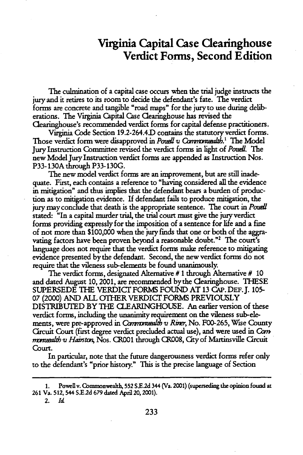# **Virginia Capital Case Clearinghouse Verdict Forms, Second Edition**

The culmination of a capital case occurs when the trial judge instructs the jury and it retires to its room to decide the defendant's fate. The verdict forms are concrete and tangible "road maps" for the jury to use during deliberations. The Virginia Capital Case Clearinghouse has revised the Clearinghouse's recommended verdict forms for capital defense practitioners.

Virginia Code Section 19.2-264.4D contains the statutory verdict forms. Those verdict form were disapproved in *Pouell v Commonuealth*.<sup>1</sup> The Model Jury Instruction Committee revised the verdict forms in light of *Podl.* The new Model Jury Instruction verdict forms are appended as Instruction Nos. P33-130A through P33-130G.

The new model verdict forms are an improvement, but are still inadequate. First, each contains a reference to "having considered all the evidence in mitigation" and thus implies that the defendant bears a burden of production as to mitigation evidence. If defendant fails to produce mitigation, the jury may conclude that death is the appropriate sentence. The court in *Poudi* stated: "In a capital murder trial, the trial court must give the jury verdict forms providing expressly for the imposition of a sentence for life and a fine of not more than \$100,000 when the jury finds that one or both of the aggravating factors have been proven beyond a reasonable doubt."<sup>2</sup> The court's language does not require that the verdict forms make reference to mitigating evidence presented by the defendant. Second, the new verdict forms do not require that the vileness sub-elements be found unanimously.

The verdict forms, designated Alternative **#** 1 through Alternative **#** 10 and dated August 10, 2001, are recommended by the Clearinghouse. THESE SUPERSEDE THE VERDICT FORMS FOUND AT 13 CAP. DEF. **J.** 105- 07 (2000) AND ALL OTHER VERDICT FORMS PREVIOUSLY DISTRIBUTED BY THE CLEARINGHOUSE. An earlier version of these verdict forms, including the unanimity requirement on the vileness sub-elements, were pre-approved in *Commonualth v Riner*, No. F00-265, Wise County Circuit Court (first degree verdict precluded actual use), and were used in *Gon* monuealth v Hainston, Nos. CR001 through CR008, City of Martinsville Circuit Court.

In particular, note that the future dangerousness verdict forms refer only to the defendant's "prior history." This is the precise language of Section

Powell v. Commonwealth, 552 S.E.2d 344 (Va. 2001) (superseding the opinion found at **261 Va. 512,** 544 SE.2d **679** dated April 20,2001).

<sup>2.</sup> *Id*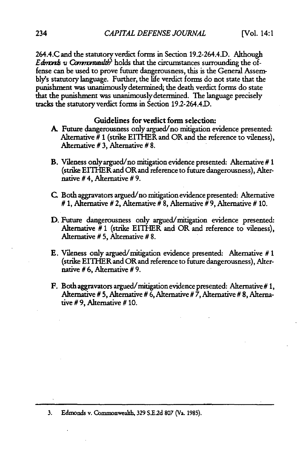264.4.C and the statutory verdict forms in Section 19.2-264.4.D. Although *Edmonts v Commonwadth*<sup>3</sup> holds that the circumstances surrounding the offense can be used to prove future dangerousness, this is the General Assembly's statutory language. Further, the life verdict forms do not state that the punishment was unanimously determined; the death verdict forms do state that the punishment was unanimously determined. The language precisely tracks the statutory verdict forms in Section 19.2-264.4D.

## Guidelines for verdict form selection:

- **A** Future dangerousness only argued/no mitigation evidence presented: Alternative  $\bar{\mathbf{\#}}$  1 (strike EITHER and OR and the reference to vileness), Alternative # 3, Alternative # 8.
- B. Vileness only argued/no mitigation evidence presented: Alternative # 1 (strike EITHER and OR and reference to future dangerousness), Alternative # 4, Alternative # **9.**
- C. Both aggravators argued/no mitigation evidence presented: Alternative # **1,** Alternative # 2, Alternative # 8, Alternative # 9, Alternative # **10.**
- D. Future dangerousness only argued/mitigation evidence presented: Alternative #1 (strike EITHER and OR and reference to vileness), Alternative **# 5,** Alternative **# 8.**
- E. Vileness only argued/mitigation evidence presented: Alternative **# 1** (strike EITHER and OR and reference to future dangerousness), Alternative **# 6,** Alternative **# 9.**
- F. Both aggravators argued/mitigation evidence presented: Alternative **# 1,** Alternative **# 5,** Alternative **#** 6, Alternative **# 7,** Alternative **# 8,** Alternative **# 9,** Alternative **# 10.**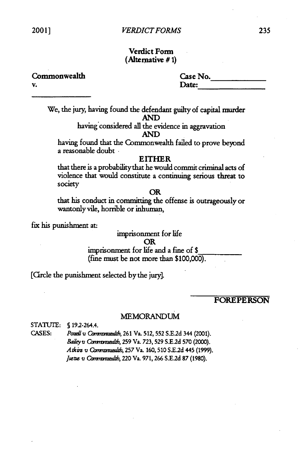# Verdict Form (Alternative **# 1)**

Commonwealth Case No. **v.** Date:

We, the jury, having found the defendant guilty of capital murder **AND**

having'considered all the evidence in aggravation **AND**

having found that the Commonwealth failed to prove beyond a reasonable doubt- **EITHER**

that there is a probabilitythat he would commit criminal acts of violence that would constitute a continuing serious threat to society

#### OR

that his conduct in committing the offense is outrageously or wantonly vile, horrible or inhuman,

fix his punishment at:

### imprisonment for life OR imprisonment for life and a fine of **\$** (fine must be not more than \$100,000).

[Circle the punishment selected by the jury].

# FOREPERSON

#### **MEMORANDUM**

STATUTE: **§** 192-264.4.

**CASES:** *Poudl* **V** *Cbrn mua,* **261** Va. **512, 552 S.E.2d** 344 (2001). *Baily* v *Qmmuim ,* **259** Va. **723, 529** S.E.2d **570** (2000). *Atkims* v Qv *ed,* **257** Va. **160,510 S.E.2d** 445 **(1999).** Justus v Communaualth, 220 Va. 971, 266 S.E.2d 87 (1980).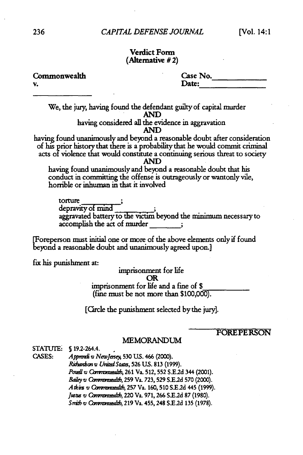# Verdict Form (Alternative **#** 2)

| Commonwealth                                                                                                                                                                                                                                                | Case No.                                                         |
|-------------------------------------------------------------------------------------------------------------------------------------------------------------------------------------------------------------------------------------------------------------|------------------------------------------------------------------|
| v.                                                                                                                                                                                                                                                          | Date:                                                            |
| We, the jury, having found the defendant guilty of capital murder<br><b>AND</b>                                                                                                                                                                             |                                                                  |
| having considered all the evidence in aggravation<br><b>AND</b>                                                                                                                                                                                             |                                                                  |
| having found unanimously and beyond a reasonable doubt after consideration<br>of his prior history that there is a probability that he would commit criminal<br>acts of violence that would constitute a continuing serious threat to society<br><b>AND</b> |                                                                  |
| having found unanimously and beyond a reasonable doubt that his<br>conduct in committing the offense is outrageously or wantonly vile,<br>horrible or inhuman in that it involved                                                                           |                                                                  |
| torture<br>depravity of mind<br>accomplish the act of murder                                                                                                                                                                                                | aggravated battery to the victim beyond the minimum necessary to |
| [Foreperson must initial one or more of the above elements only if found<br>beyond a reasonable doubt and unanimously agreed upon.]                                                                                                                         |                                                                  |
| fix his punishment at:                                                                                                                                                                                                                                      |                                                                  |
| imprisonment for life<br><b>OR</b>                                                                                                                                                                                                                          |                                                                  |
| imprisonment for life and a fine of \$<br>(fine must be not more than \$100,000).                                                                                                                                                                           |                                                                  |
| [Circle the punishment selected by the jury].                                                                                                                                                                                                               |                                                                  |

# FOREPERSON

#### MEMORANDUM

STATUTE: § 19.2-264.4. **CASES:** *Apaii* v *Newjeai* **530 US.** 466 (2000). *Richantson v United States*, 526 U.S. 813 (1999). *Poud* v Cb t *a,* **261** Va. **512, 552 S.E.2d** 344 (2001). *Bailey a* C *nrn m* , **259** Va. **723, 529** S **E.2d 570** (2000). *A Qmmvi* Qv *zz d,* **257** Va. **160,510** S.E2d 445 **(1999).** *Justus v Commonualth, 220 Va. 971, 266 S.E.2d 87 (1980). Snizbv Camnxmald* **219** Va. 455, 248 **S.E.2d 135 (1978).**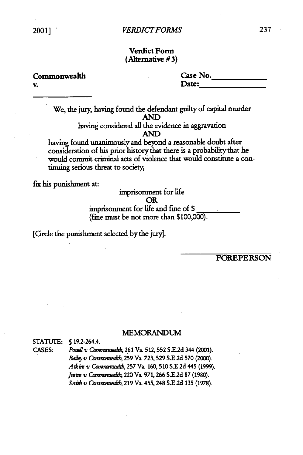# **Verdict Form (Alternative# 3)**

**v. Date:**

**Commonwealth Case No.**

**We, the** jury, having found the defendant guilty of capital murder **AND** having considered all the evidence in aggravation **AND**

having found unanimously and beyond a reasonable doubt after consideration of his prior history that there is a probability that he would commit criminal acts of violence that would constitute a continuing serious threat to society,

fix his punishment at: imprisonment **for** life **OR** imprisonment for life and fine of **\$** (fine **must** be not more than \$100,000).

[Crcle the punishment selected by the jury].

# FOREPERSON

#### MEMORANDUM

**STATUTE: 5** 192-264.4.

**CASES:** *Poudlv Qbn az,* **261** Va. **512,552** S.E.2d 344 (2001). *Bailey Commdtb,* **<sup>259</sup>**Va. **723,529 S.E2d 570** (2000). *AIk m v* C *bnm ,* **257** Va. 160, **510** S.E.2d 445 **(1999).** *Jmtm v Cbw/d.',* 220 Va. **971,266 S.E.2d 87 (1980).** *Snid v Qwmuwhd,* **219** Va. 455,248 **S.E.2d 135 (1978).**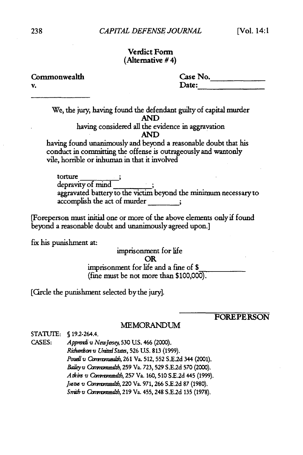### Verdict Form (Alternative **#** 4)

Commonwealth **v.** Date:

| Case No. |  |
|----------|--|
|          |  |
| Date:    |  |
|          |  |

We, the jury, having found the defendant guilty of capital murder **AND** having considered all the evidence in aggravation **AND**

having found unanimously and beyond a reasonable doubt that his conduct in committing the offense is outrageously and wantonly vile, horrible or inhuman in that it involved

torture depravity of mind aggravated battery to the victim beyond the minimum necessary to accomplish the act of murder

[Foreperson **must** initial one or more of the above elements only if found beyond a reasonable doubt and unanimously agreed upon.]

fix his punishment at:

imprisonment for life OR imprisonment for life and a fine of **\$** (fine must be not more than **\$100,000).**

[Circle the punishment selected by the jury].

FOREPERSON

#### MEMORANDUM

**STATUTE: S** 192-264.4.

CASES: *Appwnai v NewJerey,* **530 U.S.** 466 (2000). *Ridm\*n* v *UnizaStatz,* **526 US. 813 (1999).** *Poudl v Cavnzmadl,* 261 Va. 512, 552 S.E.2d 344 (2001). *Bailey v Commonuealth,* 259 Va. 723, 529 S.E.2d 570 (2000). *Atkim v Cymrmuemlb,* 257 Va. 160, 510 S.E.2d 445 (1999). Justus v Commonuealth, 220 Va. 971, 266 S.E.2d 87 (1980). *Snb v Com mumd&,* 219 Va. 455, 248 S.E.2d 135 (1978).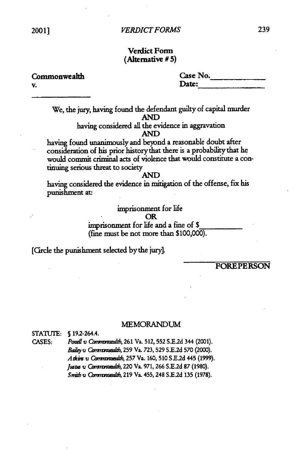# **Verdict Form (Altemative # 5)**

**v. Date:**

| veruict fohl     |  |
|------------------|--|
| (Alternative #5) |  |

**Commonwealth Case No.**

We, the jury, having found the defendant guilty of capital murder AND having considered all the evidence in aggravation

#### **AND**

having found unanimously and beyond a reasonable doubt after consideration of his prior history that there is a probability that he would commit criminal acts of violence that would constitute a continuing serious threat to society

#### **AND**

having considered the evidence in mitigation of the offense, fix his punishment at:

# imprisonment for life

#### OR

imprisonment for life and a fine of **\$** (fine must be not more than \$100,000).

**[CIrcle** the punishment selected by the jury].

FOREPERSON

#### MEMORANDUM

STATUTE: **S** 192-264.4.

**CASES:** *Poudl v* Cbr *wt,* **<sup>261</sup>**Va. 512, **552 S.E.2d** 344 (2001). *Baiey* v CWcmmmd, **259** Va. **723, 529** S.E.2d **570** (2000). *Atkm* v Caommdb, **257** Va. 160, **510 S.E.2d** 445 **(1999).** *JWtM 'u VO mn b,* 220 Va. **971,266** S.E.2d **87 (1980).** *Snvi v* Gwmm=1W, **219** Va. 455, 248 **S.E.2d 135** (1978).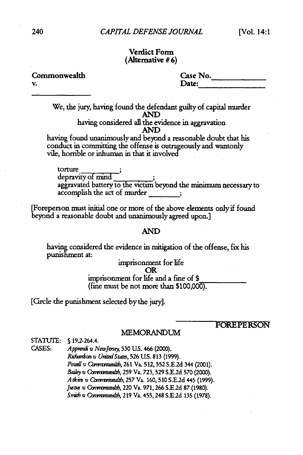#### Verdict **Form** (Altemative **# 6)**

Commonwealth **v.** Date:

| Case No. |  |
|----------|--|
| Date:    |  |

We, the **jury,** having found the defendant guilty of capital murder **AND** having considered all the evidence in aggravation **AND**

having found unanimously and beyond a reasonable doubt that his conduct in committing the offense is outrageously and wantonly vile, horrible or inhuman in that it involved

torture depravity of mind aggravated battery to the victim beyond the minimum necessary to accomplish the act of murder

[Foreperson must initial one or more of the above elements only if found beyond a reasonable doubt and unanimously agreed upon.]

#### **AND**

having considered the evidence in mitigation of the offense, fix his punishment at:

imprisonment for life OR imprisonment for life and a fine of \$ (fine must be not more than **\$100,000).**

[Circle the punishment selected by the jury].

# FOREPERSON

#### MEMORANDUM

**STATUTE: S** 192-264.4. CASES: *Apprendi v NewJersey*, 530 U.S. 466 (2000). *Ridicniv UniredState,* 526 **U.S. 813** (1999). Pouell v Commanuealth, 261 Va. 512, 552 S.E.2d 344 (2001). *Bailey v Commonuealth*, 259 Va. 723, 529 S.E.2d 570 (2000). *A tkinv CO"vmuad&,* 257 Va. 160, **510 S.E.2d** 445 (1999). *J uv Cammad h,* 220 Va. 971,266 S.E.2d 87 (1980). Smith v Communadith, 219 Va. 455, 248 S.E.2d 135 (1978).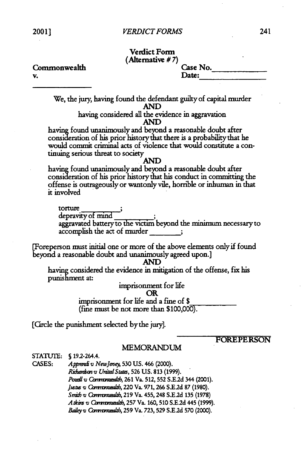# Verdict Form **(Alternative** *# 7)*

Commonwealth Case No. **v.** Date:

We, the jury, having found the defendant guilty of capital murder AND

having considered all the evidence in aggravation AND

having found unanimously and beyond a reasonable doubt after consideration of his prior history that there is a probability that he would commit criminal acts of violence that would constitute a continuing serious threat to society

### AND

having found unanimously and beyond a reasonable doubt after consideration of his prior history that his conduct in committing the offense is outrageously or wantonly vile, horrible or inhuman in that it involved

torture depravity of mind aggravated battery to the victim beyond the minimum necessary to accomplish the act of murder

[Foreperson must initial one or more of the above elements only if found beyond a reasonable doubt and unanimously agreed upon.]

**AND**

having considered the evidence in mitigation of the offense, fix his punishment at:

imprisonment for life

#### OR

imprisonment for life and a fine of **\$** (fine must be not more than \$100,000).

[Circle the punishment selected bythe jury].

# FOREPERSON

#### MEMORANDUM

STATUTE: **S** 192-264.4. **CASES:** *Appved v NewJeneg* **530 US.** 466 (2000). *RiAmvnv UtrzdStts,* **526 U.S.** 813 **(1999).** *Pouell v Commonuealth,* 261 Va. 512, 552 S.E.2d 344 (2001). Justus v Commonuealth, 220 Va. 971, 266 S.E.2d 87 (1980). *Snil v* Qnw, i, 219 Va. 455, 248 S.E.2d **135** (1978) Atkins *v Commanuealth*, 257 Va. 160, 510 S.E.2d 445 (1999). *Bai/eyd* Ccamwrmdd,, **259** Va. **723, 529 S.E.2d 570** (2000).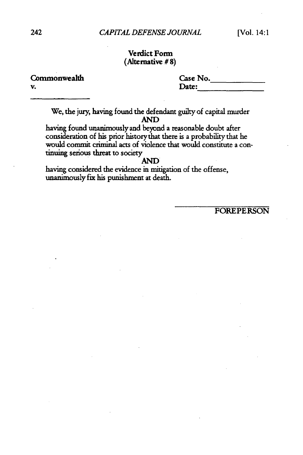### Verdict Form (Alternative **# 8)**

**v.** Date:

Commonwealth Case No.

We, the jury, having found the defendant guilty of capital murder **AND**

having found unanimously and beynd a reasonable doubt after consideration of his prior history that there is a probability that he would commit criminal acts of violence that would constitute a continuing serious threat to society

# AND

having considered the evidence in mitigation of the offense, unanimously fix his punishment at death.

FOREPERSON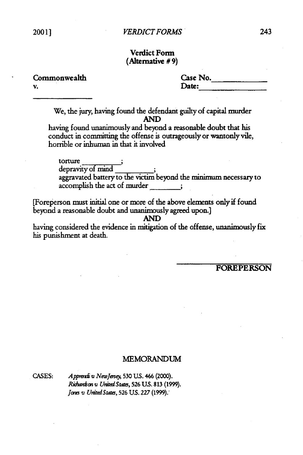# Verdict Form (Alternative **# 9)**

v.

Commonwealth Case No. Date:

We, the jury, having found the defendant guilty of capital murder AND

having found unanimously and beyond a reasonable doubt that his conduct in committing the offense is outrageously or wantonly vile, horrible or inhuman in that it involved

torture depravity of mind aggravated battery to the victim beyond the minimum necessary to accomplish the act of murder

[Foreperson must initial one or more of the above elements only if found beyond a reasonable doubt and unanimously agreed upon.]

having considered the evidence in mitigation of the offense, unanimously fix his punishment at death.

FOREPERSON

#### MEMORANDUM

CASES: *Alppzi* v *Newlse);* 530 **US.** 466 (2000). *Ri.mnon v UnialStats,* **526 US. 813 (1999).** *Jons v United States*, 526 U.S. 227 (1999).

**AND**